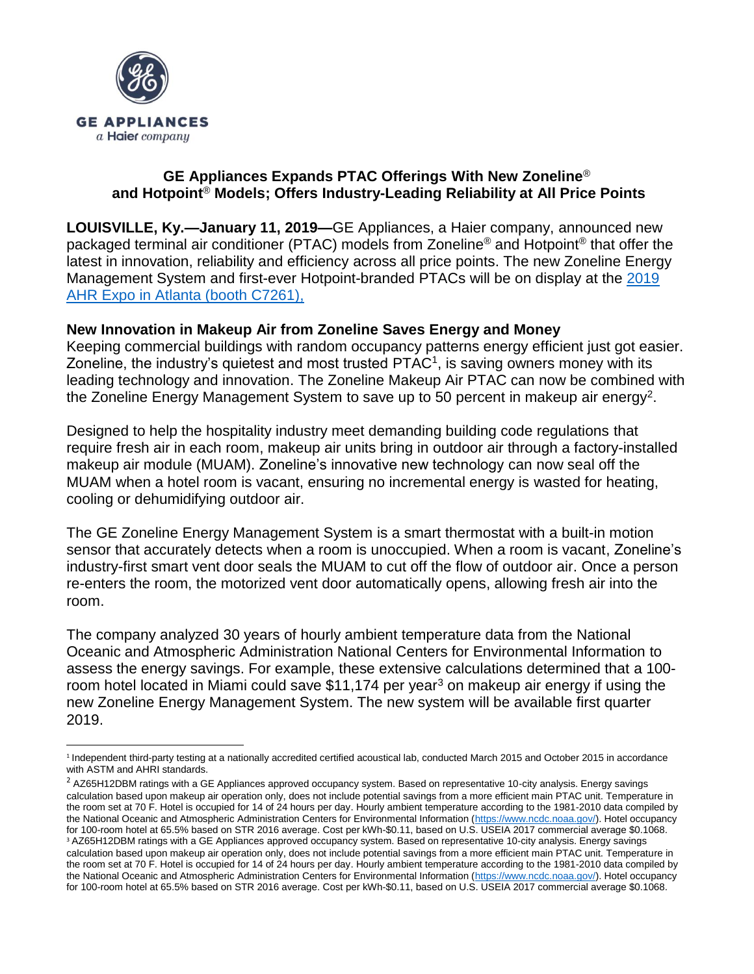

## **GE Appliances Expands PTAC Offerings With New Zoneline**® **and Hotpoint**® **Models; Offers Industry-Leading Reliability at All Price Points**

**LOUISVILLE, Ky.—January 11, 2019—**GE Appliances, a Haier company, announced new packaged terminal air conditioner (PTAC) models from Zoneline® and Hotpoint® that offer the latest in innovation, reliability and efficiency across all price points. The new Zoneline Energy Management System and first-ever Hotpoint-branded PTACs will be on display at the [2019](https://ahrexpo.com/about/)  [AHR Expo in Atlanta \(booth C7261\),](https://ahrexpo.com/about/)

## **New Innovation in Makeup Air from Zoneline Saves Energy and Money**

Keeping commercial buildings with random occupancy patterns energy efficient just got easier. Zoneline, the industry's quietest and most trusted PTAC<sup>1</sup>, is saving owners money with its leading technology and innovation. The Zoneline Makeup Air PTAC can now be combined with the Zoneline Energy Management System to save up to 50 percent in makeup air energy<sup>2</sup>.

Designed to help the hospitality industry meet demanding building code regulations that require fresh air in each room, makeup air units bring in outdoor air through a factory-installed makeup air module (MUAM). Zoneline's innovative new technology can now seal off the MUAM when a hotel room is vacant, ensuring no incremental energy is wasted for heating, cooling or dehumidifying outdoor air.

The GE Zoneline Energy Management System is a smart thermostat with a built-in motion sensor that accurately detects when a room is unoccupied. When a room is vacant, Zoneline's industry-first smart vent door seals the MUAM to cut off the flow of outdoor air. Once a person re-enters the room, the motorized vent door automatically opens, allowing fresh air into the room.

The company analyzed 30 years of hourly ambient temperature data from the National Oceanic and Atmospheric Administration National Centers for Environmental Information to assess the energy savings. For example, these extensive calculations determined that a 100 room hotel located in Miami could save \$11,174 per year<sup>3</sup> on makeup air energy if using the new Zoneline Energy Management System. The new system will be available first quarter 2019.

 $\overline{\phantom{a}}$ <sup>1</sup> Independent third-party testing at a nationally accredited certified acoustical lab, conducted March 2015 and October 2015 in accordance with ASTM and AHRI standards.

 $<sup>2</sup>$  AZ65H12DBM ratings with a GE Appliances approved occupancy system. Based on representative 10-city analysis. Energy savings</sup> calculation based upon makeup air operation only, does not include potential savings from a more efficient main PTAC unit. Temperature in the room set at 70 F. Hotel is occupied for 14 of 24 hours per day. Hourly ambient temperature according to the 1981-2010 data compiled by the National Oceanic and Atmospheric Administration Centers for Environmental Information [\(https://www.ncdc.noaa.gov/\)](https://www.ncdc.noaa.gov/). Hotel occupancy for 100-room hotel at 65.5% based on STR 2016 average. Cost per kWh-\$0.11, based on U.S. USEIA 2017 commercial average \$0.1068. <sup>3</sup> AZ65H12DBM ratings with a GE Appliances approved occupancy system. Based on representative 10-city analysis. Energy savings calculation based upon makeup air operation only, does not include potential savings from a more efficient main PTAC unit. Temperature in the room set at 70 F. Hotel is occupied for 14 of 24 hours per day. Hourly ambient temperature according to the 1981-2010 data compiled by the National Oceanic and Atmospheric Administration Centers for Environmental Information [\(https://www.ncdc.noaa.gov/\)](https://www.ncdc.noaa.gov/). Hotel occupancy for 100-room hotel at 65.5% based on STR 2016 average. Cost per kWh-\$0.11, based on U.S. USEIA 2017 commercial average \$0.1068.